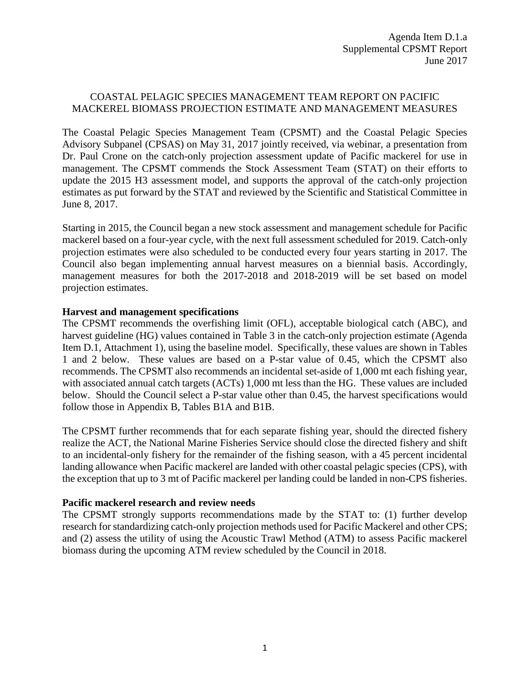## COASTAL PELAGIC SPECIES MANAGEMENT TEAM REPORT ON PACIFIC MACKEREL BIOMASS PROJECTION ESTIMATE AND MANAGEMENT MEASURES

The Coastal Pelagic Species Management Team (CPSMT) and the Coastal Pelagic Species Advisory Subpanel (CPSAS) on May 31, 2017 jointly received, via webinar, a presentation from Dr. Paul Crone on the catch-only projection assessment update of Pacific mackerel for use in management. The CPSMT commends the Stock Assessment Team (STAT) on their efforts to update the 2015 H3 assessment model, and supports the approval of the catch-only projection estimates as put forward by the STAT and reviewed by the Scientific and Statistical Committee in June 8, 2017.

Starting in 2015, the Council began a new stock assessment and management schedule for Pacific mackerel based on a four-year cycle, with the next full assessment scheduled for 2019. Catch-only projection estimates were also scheduled to be conducted every four years starting in 2017. The Council also began implementing annual harvest measures on a biennial basis. Accordingly, management measures for both the 2017-2018 and 2018-2019 will be set based on model projection estimates.

## **Harvest and management specifications**

The CPSMT recommends the overfishing limit (OFL), acceptable biological catch (ABC), and harvest guideline (HG) values contained in Table 3 in the catch-only projection estimate (Agenda Item D.1, Attachment 1), using the baseline model. Specifically, these values are shown in Tables 1 and 2 below. These values are based on a P-star value of 0.45, which the CPSMT also recommends. The CPSMT also recommends an incidental set-aside of 1,000 mt each fishing year, with associated annual catch targets (ACTs) 1,000 mt less than the HG. These values are included below. Should the Council select a P-star value other than 0.45, the harvest specifications would follow those in Appendix B, Tables B1A and B1B.

The CPSMT further recommends that for each separate fishing year, should the directed fishery realize the ACT, the National Marine Fisheries Service should close the directed fishery and shift to an incidental-only fishery for the remainder of the fishing season, with a 45 percent incidental landing allowance when Pacific mackerel are landed with other coastal pelagic species (CPS), with the exception that up to 3 mt of Pacific mackerel per landing could be landed in non-CPS fisheries.

## **Pacific mackerel research and review needs**

The CPSMT strongly supports recommendations made by the STAT to: (1) further develop research for standardizing catch-only projection methods used for Pacific Mackerel and other CPS; and (2) assess the utility of using the Acoustic Trawl Method (ATM) to assess Pacific mackerel biomass during the upcoming ATM review scheduled by the Council in 2018.